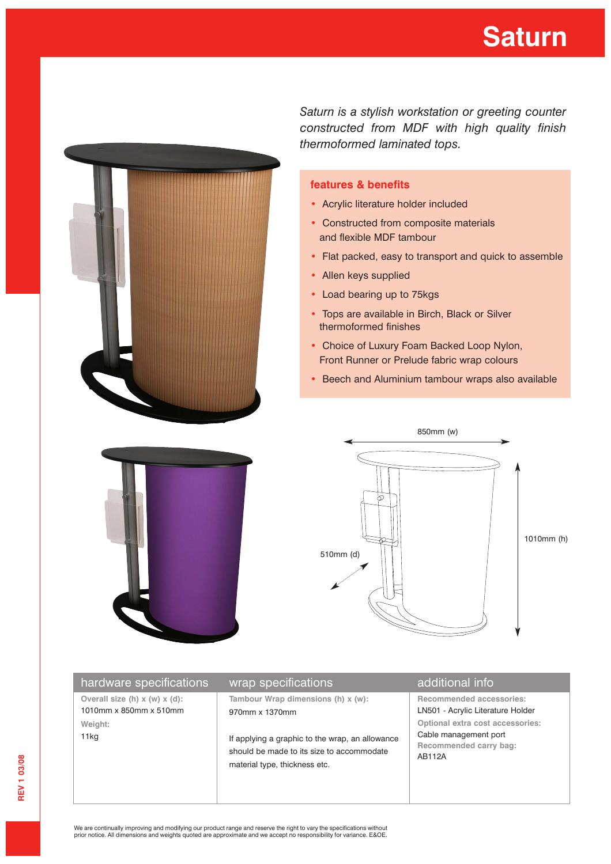## **Saturn**



*Saturn is a stylish workstation or greeting counter constructed from MDF with high quality finish thermoformed laminated tops.*

## **features & benefits**

- Acrylic literature holder included
- Constructed from composite materials and flexible MDF tambour
- Flat packed, easy to transport and quick to assemble
- Allen keys supplied
- Load bearing up to 75kgs
- Tops are available in Birch, Black or Silver thermoformed finishes
- Choice of Luxury Foam Backed Loop Nylon, Front Runner or Prelude fabric wrap colours
- Beech and Aluminium tambour wraps also available



| hardware specifications                                    | wrap specifications                                                                                                           | additional info                                                                               |
|------------------------------------------------------------|-------------------------------------------------------------------------------------------------------------------------------|-----------------------------------------------------------------------------------------------|
| Overall size (h) $x(w)$ $x(d)$ :<br>1010mm x 850mm x 510mm | Tambour Wrap dimensions (h) x (w):<br>970mm x 1370mm                                                                          | <b>Recommended accessories:</b><br>LN501 - Acrylic Literature Holder                          |
| Weight:<br>11 <sub>kg</sub>                                | If applying a graphic to the wrap, an allowance<br>should be made to its size to accommodate<br>material type, thickness etc. | Optional extra cost accessories:<br>Cable management port<br>Recommended carry bag:<br>AB112A |